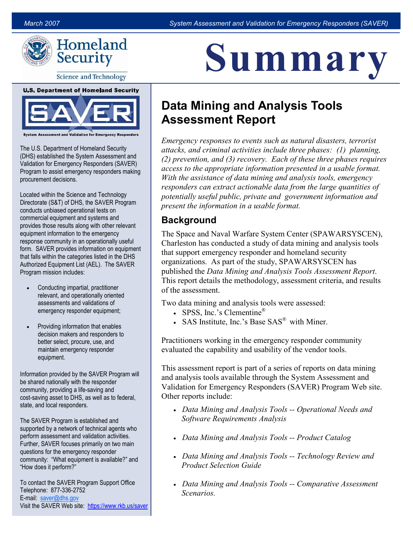

**Science and Technology** 

#### **U.S. Department of Homeland Security**



The U.S. Department of Homeland Security (DHS) established the System Assessment and Validation for Emergency Responders (SAVER) Program to assist emergency responders making procurement decisions.

Located within the Science and Technology Directorate (S&T) of DHS, the SAVER Program conducts unbiased operational tests on commercial equipment and systems and provides those results along with other relevant equipment information to the emergency response community in an operationally useful form. SAVER provides information on equipment that falls within the categories listed in the DHS Authorized Equipment List (AEL). The SAVER Program mission includes:

- Conducting impartial, practitioner relevant, and operationally oriented assessments and validations of emergency responder equipment;
- Providing information that enables decision makers and responders to better select, procure, use, and maintain emergency responder equipment.

Information provided by the SAVER Program will be shared nationally with the responder community, providing a life-saving and cost-saving asset to DHS, as well as to federal, state, and local responders.

The SAVER Program is established and supported by a network of technical agents who perform assessment and validation activities. Further, SAVER focuses primarily on two main questions for the emergency responder community: "What equipment is available?" and "How does it perform?"

To contact the SAVER Program Support Office Telephone: 877-336-2752 E-mail: [saver@dhs.gov](mailto:saver@dhs.gov) Visit the SAVER Web site: <https://www.rkb.us/saver>

# <u>A III III A I</u> Summary

## Data Mining and Analysis Tools Assessment Report

 attacks, and criminal activities include three phases: (1) planning, Emergency responses to events such as natural disasters, terrorist (2) prevention, and (3) recovery. Each of these three phases requires access to the appropriate information presented in a usable format. With the assistance of data mining and analysis tools, emergency responders can extract actionable data from the large quantities of potentially useful public, private and government information and present the information in a usable format.

#### **Background**

The Space and Naval Warfare System Center (SPAWARSYSCEN), Charleston has conducted a study of data mining and analysis tools that support emergency responder and homeland security organizations. As part of the study, SPAWARSYSCEN has published the Data Mining and Analysis Tools Assessment Report. This report details the methodology, assessment criteria, and results of the assessment.

Two data mining and analysis tools were assessed:

- SPSS, Inc.'s Clementine<sup>®</sup>
- SAS Institute, Inc.'s Base SAS<sup>®</sup> with Miner.

 Practitioners working in the emergency responder community evaluated the capability and usability of the vendor tools.

This assessment report is part of a series of reports on data mining and analysis tools available through the System Assessment and Validation for Emergency Responders (SAVER) Program Web site. Other reports include:

- Data Mining and Analysis Tools -- Operational Needs and Software Requirements Analysis
- Data Mining and Analysis Tools -- Product Catalog
- Data Mining and Analysis Tools -- Technology Review and Product Selection Guide
- Data Mining and Analysis Tools -- Comparative Assessment Scenarios.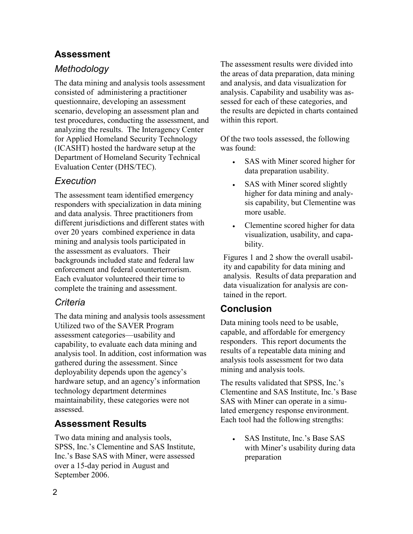#### Assessment

#### Methodology

 questionnaire, developing an assessment The data mining and analysis tools assessment consisted of administering a practitioner scenario, developing an assessment plan and test procedures, conducting the assessment, and analyzing the results. The Interagency Center for Applied Homeland Security Technology (ICASHT) hosted the hardware setup at the Department of Homeland Security Technical Evaluation Center (DHS/TEC).

#### Execution

The assessment team identified emergency responders with specialization in data mining and data analysis. Three practitioners from different jurisdictions and different states with over 20 years combined experience in data mining and analysis tools participated in the assessment as evaluators. Their backgrounds included state and federal law enforcement and federal counterterrorism. Each evaluator volunteered their time to complete the training and assessment.

#### Criteria

 assessment categories—usability and capability, to evaluate each data mining and The data mining and analysis tools assessment Utilized two of the SAVER Program analysis tool. In addition, cost information was gathered during the assessment. Since deployability depends upon the agency's hardware setup, and an agency's information technology department determines maintainability, these categories were not assessed.

#### Assessment Results

 SPSS, Inc.'s Clementine and SAS Institute, over a 15-day period in August and Two data mining and analysis tools, Inc.'s Base SAS with Miner, were assessed September 2006.

 analysis. Capability and usability was as-The assessment results were divided into the areas of data preparation, data mining and analysis, and data visualization for sessed for each of these categories, and the results are depicted in charts contained within this report.

Of the two tools assessed, the following was found:

- SAS with Miner scored higher for data preparation usability.
- SAS with Miner scored slightly higher for data mining and analysis capability, but Clementine was more usable.
- Clementine scored higher for data visualization, usability, and capability.

Figures 1 and 2 show the overall usability and capability for data mining and analysis. Results of data preparation and data visualization for analysis are contained in the report.

### Conclusion

Data mining tools need to be usable, capable, and affordable for emergency responders. This report documents the results of a repeatable data mining and analysis tools assessment for two data mining and analysis tools.

 Each tool had the following strengths: The results validated that SPSS, Inc.'s Clementine and SAS Institute, Inc.'s Base SAS with Miner can operate in a simulated emergency response environment.

• SAS Institute, Inc.'s Base SAS with Miner's usability during data preparation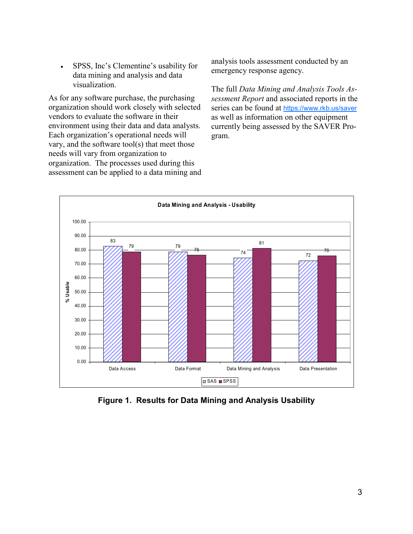data mining and analysis and data • SPSS, Inc's Clementine's usability for visualization.

 assessment can be applied to a data mining and As for any software purchase, the purchasing organization should work closely with selected vendors to evaluate the software in their environment using their data and data analysts. Each organization's operational needs will vary, and the software tool(s) that meet those needs will vary from organization to organization. The processes used during this

analysis tools assessment conducted by an emergency response agency.

series can be found at https://www.rkb.us/saver currently being assessed by the SAVER Pro-The full Data Mining and Analysis Tools Assessment Report and associated reports in the as well as information on other equipment gram.



Figure 1. Results for Data Mining and Analysis Usability